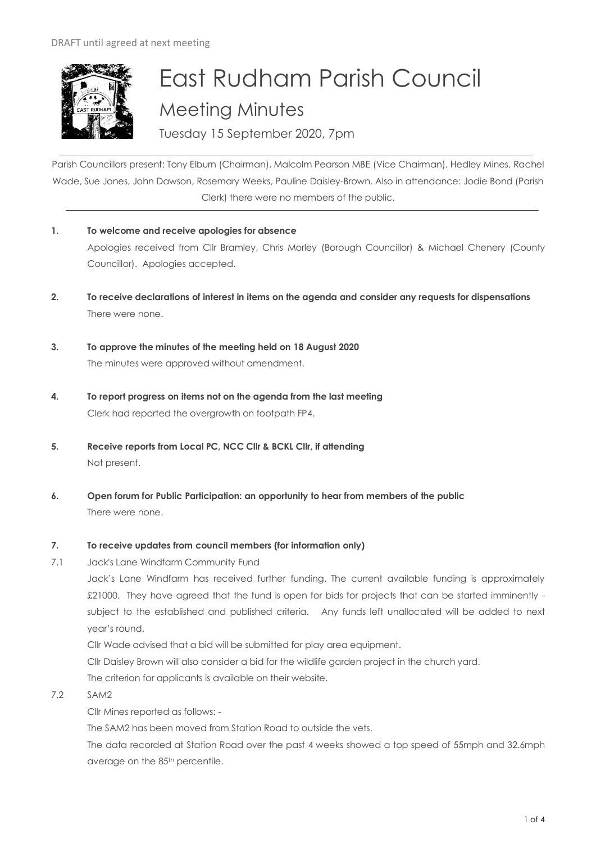

# East Rudham Parish Council Meeting Minutes

Tuesday 15 September 2020, 7pm

Parish Councillors present: Tony Elburn (Chairman), Malcolm Pearson MBE (Vice Chairman), Hedley Mines, Rachel Wade, Sue Jones, John Dawson, Rosemary Weeks, Pauline Daisley-Brown. Also in attendance: Jodie Bond (Parish Clerk) there were no members of the public.

- **1. To welcome and receive apologies for absence** Apologies received from Cllr Bramley, Chris Morley (Borough Councillor) & Michael Chenery (County Councillor). Apologies accepted.
- **2. To receive declarations of interest in items on the agenda and consider any requests for dispensations**  There were none.
- **3. To approve the minutes of the meeting held on 18 August 2020**  The minutes were approved without amendment.
- **4. To report progress on items not on the agenda from the last meeting**  Clerk had reported the overgrowth on footpath FP4.
- **5. Receive reports from Local PC, NCC Cllr & BCKL Cllr, if attending** Not present.
- **6. Open forum for Public Participation: an opportunity to hear from members of the public** There were none.

# **7. To receive updates from council members (for information only)**

7.1 Jack's Lane Windfarm Community Fund

Jack's Lane Windfarm has received further funding. The current available funding is approximately £21000. They have agreed that the fund is open for bids for projects that can be started imminently subject to the established and published criteria. Any funds left unallocated will be added to next year's round.

Cllr Wade advised that a bid will be submitted for play area equipment.

Cllr Daisley Brown will also consider a bid for the wildlife garden project in the church yard.

The criterion for applicants is available on their website.

# 7.2 SAM2

Cllr Mines reported as follows: -

The SAM2 has been moved from Station Road to outside the vets.

The data recorded at Station Road over the past 4 weeks showed a top speed of 55mph and 32.6mph average on the 85<sup>th</sup> percentile.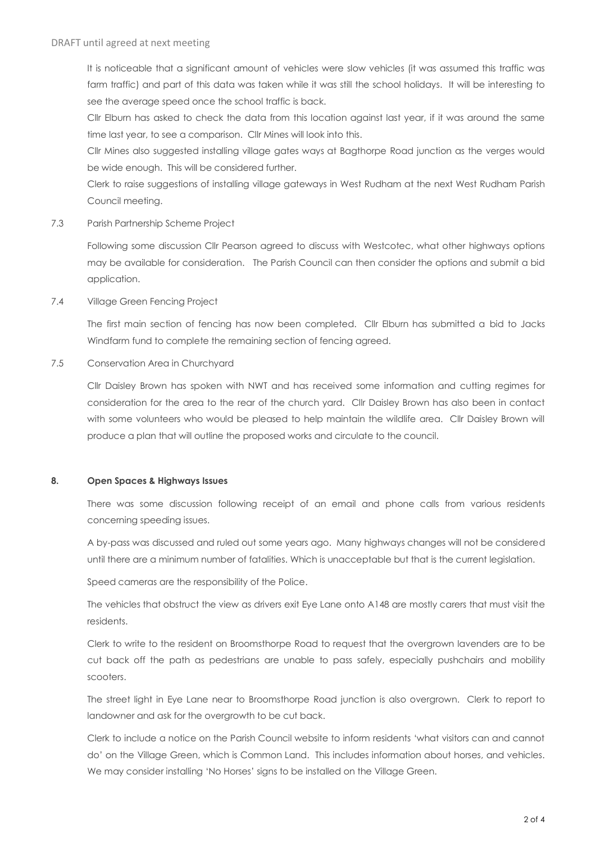It is noticeable that a significant amount of vehicles were slow vehicles (it was assumed this traffic was farm traffic) and part of this data was taken while it was still the school holidays. It will be interesting to see the average speed once the school traffic is back.

Cllr Elburn has asked to check the data from this location against last year, if it was around the same time last year, to see a comparison. Cllr Mines will look into this.

Cllr Mines also suggested installing village gates ways at Bagthorpe Road junction as the verges would be wide enough. This will be considered further.

Clerk to raise suggestions of installing village gateways in West Rudham at the next West Rudham Parish Council meeting.

7.3 Parish Partnership Scheme Project

Following some discussion Cllr Pearson agreed to discuss with Westcotec, what other highways options may be available for consideration. The Parish Council can then consider the options and submit a bid application.

7.4 Village Green Fencing Project

The first main section of fencing has now been completed. Cllr Elburn has submitted a bid to Jacks Windfarm fund to complete the remaining section of fencing agreed.

7.5 Conservation Area in Churchyard

Cllr Daisley Brown has spoken with NWT and has received some information and cutting regimes for consideration for the area to the rear of the church yard. Cllr Daisley Brown has also been in contact with some volunteers who would be pleased to help maintain the wildlife area. Cllr Daisley Brown will produce a plan that will outline the proposed works and circulate to the council.

# **8. Open Spaces & Highways Issues**

There was some discussion following receipt of an email and phone calls from various residents concerning speeding issues.

A by-pass was discussed and ruled out some years ago. Many highways changes will not be considered until there are a minimum number of fatalities. Which is unacceptable but that is the current legislation.

Speed cameras are the responsibility of the Police.

The vehicles that obstruct the view as drivers exit Eye Lane onto A148 are mostly carers that must visit the residents.

Clerk to write to the resident on Broomsthorpe Road to request that the overgrown lavenders are to be cut back off the path as pedestrians are unable to pass safely, especially pushchairs and mobility scooters.

The street light in Eye Lane near to Broomsthorpe Road junction is also overgrown. Clerk to report to landowner and ask for the overgrowth to be cut back.

Clerk to include a notice on the Parish Council website to inform residents 'what visitors can and cannot do' on the Village Green, which is Common Land. This includes information about horses, and vehicles. We may consider installing 'No Horses' signs to be installed on the Village Green.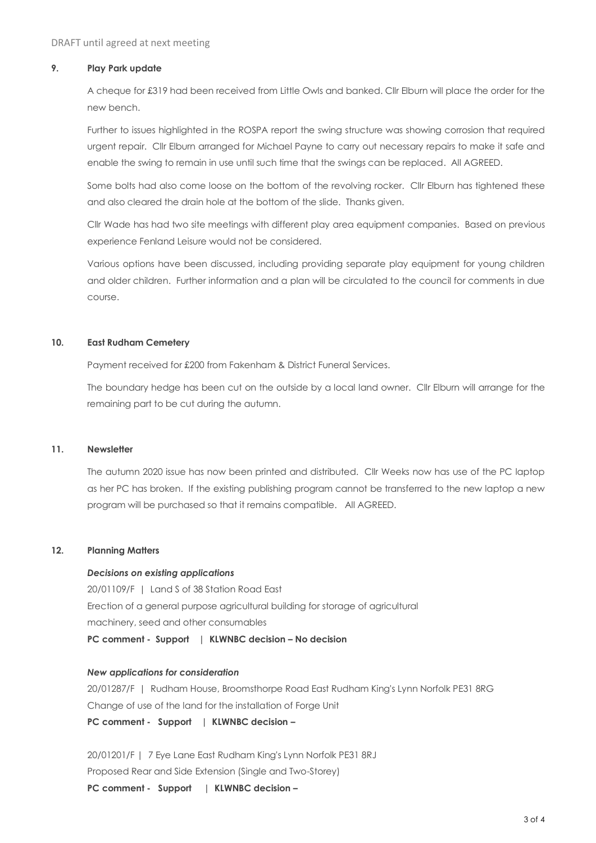# **9. Play Park update**

A cheque for £319 had been received from Little Owls and banked. Cllr Elburn will place the order for the new bench.

Further to issues highlighted in the ROSPA report the swing structure was showing corrosion that required urgent repair. Cllr Elburn arranged for Michael Payne to carry out necessary repairs to make it safe and enable the swing to remain in use until such time that the swings can be replaced. All AGREED.

Some bolts had also come loose on the bottom of the revolving rocker. Cllr Elburn has tightened these and also cleared the drain hole at the bottom of the slide. Thanks given.

Cllr Wade has had two site meetings with different play area equipment companies. Based on previous experience Fenland Leisure would not be considered.

Various options have been discussed, including providing separate play equipment for young children and older children. Further information and a plan will be circulated to the council for comments in due course.

# **10. East Rudham Cemetery**

Payment received for £200 from Fakenham & District Funeral Services.

The boundary hedge has been cut on the outside by a local land owner. Cllr Elburn will arrange for the remaining part to be cut during the autumn.

#### **11. Newsletter**

The autumn 2020 issue has now been printed and distributed. Cllr Weeks now has use of the PC laptop as her PC has broken. If the existing publishing program cannot be transferred to the new laptop a new program will be purchased so that it remains compatible. All AGREED.

#### **12. Planning Matters**

#### *Decisions on existing applications*

20/01109/F | Land S of 38 Station Road East Erection of a general purpose agricultural building for storage of agricultural machinery, seed and other consumables **PC comment - Support | KLWNBC decision – No decision**

#### *New applications for consideration*

20/01287/F | Rudham House, Broomsthorpe Road East Rudham King's Lynn Norfolk PE31 8RG Change of use of the land for the installation of Forge Unit

**PC comment - Support | KLWNBC decision –**

20/01201/F | 7 Eye Lane East Rudham King's Lynn Norfolk PE31 8RJ Proposed Rear and Side Extension (Single and Two-Storey) **PC comment - Support | KLWNBC decision –**